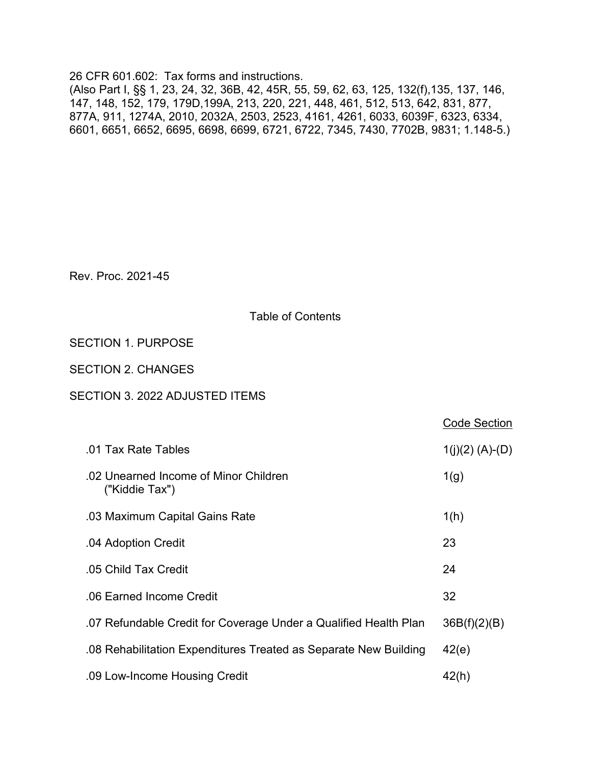26 CFR 601.602: Tax forms and instructions. (Also Part I, §§ 1, 23, 24, 32, 36B, 42, 45R, 55, 59, 62, 63, 125, 132(f),135, 137, 146, 147, 148, 152, 179, 179D,199A, 213, 220, 221, 448, 461, 512, 513, 642, 831, 877, 877A, 911, 1274A, 2010, 2032A, 2503, 2523, 4161, 4261, 6033, 6039F, 6323, 6334, 6601, 6651, 6652, 6695, 6698, 6699, 6721, 6722, 7345, 7430, 7702B, 9831; 1.148-5.)

Rev. Proc. 2021-45

# Table of Contents

# SECTION 1. PURPOSE

## SECTION 2. CHANGES

## SECTION 3. 2022 ADJUSTED ITEMS

|                                                                  | <b>Code Section</b> |
|------------------------------------------------------------------|---------------------|
| .01 Tax Rate Tables                                              | $1(j)(2)$ (A)-(D)   |
| .02 Unearned Income of Minor Children<br>("Kiddie Tax")          | 1(g)                |
| .03 Maximum Capital Gains Rate                                   | 1(h)                |
| .04 Adoption Credit                                              | 23                  |
| .05 Child Tax Credit                                             | 24                  |
| .06 Earned Income Credit                                         | 32                  |
| .07 Refundable Credit for Coverage Under a Qualified Health Plan | 36B(f)(2)(B)        |
| .08 Rehabilitation Expenditures Treated as Separate New Building | 42(e)               |
| .09 Low-Income Housing Credit                                    | 42(h)               |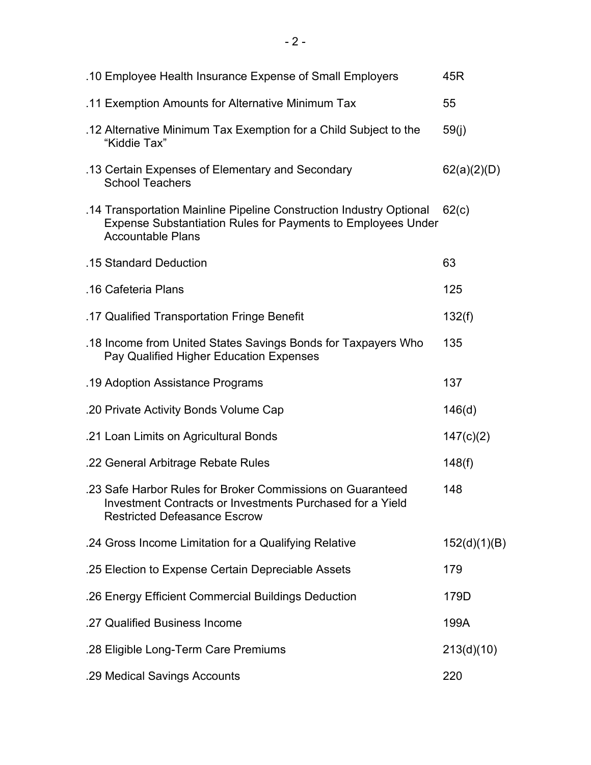| .10 Employee Health Insurance Expense of Small Employers                                                                                                               | 45R          |
|------------------------------------------------------------------------------------------------------------------------------------------------------------------------|--------------|
| .11 Exemption Amounts for Alternative Minimum Tax                                                                                                                      | 55           |
| .12 Alternative Minimum Tax Exemption for a Child Subject to the<br>"Kiddie Tax"                                                                                       | 59(j)        |
| .13 Certain Expenses of Elementary and Secondary<br><b>School Teachers</b>                                                                                             | 62(a)(2)(D)  |
| .14 Transportation Mainline Pipeline Construction Industry Optional<br><b>Expense Substantiation Rules for Payments to Employees Under</b><br><b>Accountable Plans</b> | 62(c)        |
| .15 Standard Deduction                                                                                                                                                 | 63           |
| .16 Cafeteria Plans                                                                                                                                                    | 125          |
| .17 Qualified Transportation Fringe Benefit                                                                                                                            | 132(f)       |
| .18 Income from United States Savings Bonds for Taxpayers Who<br>Pay Qualified Higher Education Expenses                                                               | 135          |
| .19 Adoption Assistance Programs                                                                                                                                       | 137          |
| .20 Private Activity Bonds Volume Cap                                                                                                                                  | 146(d)       |
| .21 Loan Limits on Agricultural Bonds                                                                                                                                  | 147(c)(2)    |
| .22 General Arbitrage Rebate Rules                                                                                                                                     | 148(f)       |
| .23 Safe Harbor Rules for Broker Commissions on Guaranteed<br>Investment Contracts or Investments Purchased for a Yield<br><b>Restricted Defeasance Escrow</b>         | 148          |
| .24 Gross Income Limitation for a Qualifying Relative                                                                                                                  | 152(d)(1)(B) |
| .25 Election to Expense Certain Depreciable Assets                                                                                                                     | 179          |
| .26 Energy Efficient Commercial Buildings Deduction                                                                                                                    | 179D         |
| .27 Qualified Business Income                                                                                                                                          | 199A         |
| .28 Eligible Long-Term Care Premiums                                                                                                                                   | 213(d)(10)   |
|                                                                                                                                                                        |              |

.29 Medical Savings Accounts 220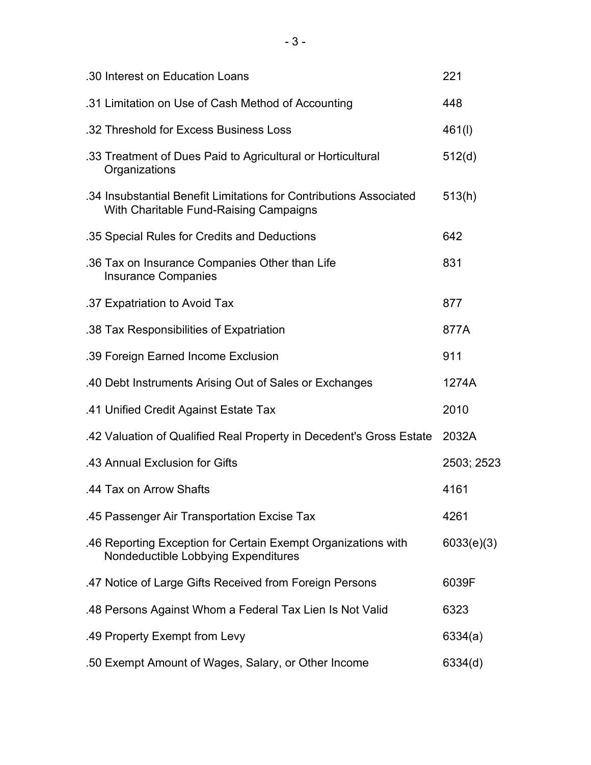| .30 Interest on Education Loans                                                                              | 221        |
|--------------------------------------------------------------------------------------------------------------|------------|
| .31 Limitation on Use of Cash Method of Accounting                                                           | 448        |
| .32 Threshold for Excess Business Loss                                                                       | 461(l)     |
| .33 Treatment of Dues Paid to Agricultural or Horticultural<br>Organizations                                 | 512(d)     |
| .34 Insubstantial Benefit Limitations for Contributions Associated<br>With Charitable Fund-Raising Campaigns | 513(h)     |
| .35 Special Rules for Credits and Deductions                                                                 | 642        |
| .36 Tax on Insurance Companies Other than Life<br><b>Insurance Companies</b>                                 | 831        |
| .37 Expatriation to Avoid Tax                                                                                | 877        |
| .38 Tax Responsibilities of Expatriation                                                                     | 877A       |
| .39 Foreign Earned Income Exclusion                                                                          | 911        |
| .40 Debt Instruments Arising Out of Sales or Exchanges                                                       | 1274A      |
| .41 Unified Credit Against Estate Tax                                                                        | 2010       |
| .42 Valuation of Qualified Real Property in Decedent's Gross Estate                                          | 2032A      |
| .43 Annual Exclusion for Gifts                                                                               | 2503; 2523 |
| .44 Tax on Arrow Shafts                                                                                      | 4161       |
| .45 Passenger Air Transportation Excise Tax                                                                  | 4261       |
| .46 Reporting Exception for Certain Exempt Organizations with<br>Nondeductible Lobbying Expenditures         | 6033(e)(3) |
| 47 Notice of Large Gifts Received from Foreign Persons                                                       | 6039F      |
| .48 Persons Against Whom a Federal Tax Lien Is Not Valid                                                     | 6323       |
| .49 Property Exempt from Levy                                                                                | 6334(a)    |
| .50 Exempt Amount of Wages, Salary, or Other Income                                                          | 6334(d)    |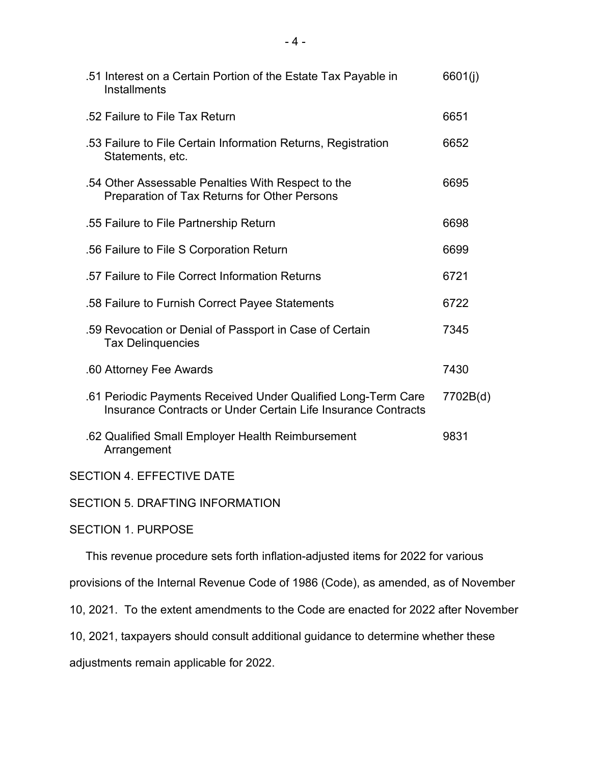| .51 Interest on a Certain Portion of the Estate Tax Payable in<br><b>Installments</b>                                          | 6601(j)  |
|--------------------------------------------------------------------------------------------------------------------------------|----------|
| .52 Failure to File Tax Return                                                                                                 | 6651     |
| .53 Failure to File Certain Information Returns, Registration<br>Statements, etc.                                              | 6652     |
| .54 Other Assessable Penalties With Respect to the<br>Preparation of Tax Returns for Other Persons                             | 6695     |
| .55 Failure to File Partnership Return                                                                                         | 6698     |
| .56 Failure to File S Corporation Return                                                                                       | 6699     |
| .57 Failure to File Correct Information Returns                                                                                | 6721     |
| .58 Failure to Furnish Correct Payee Statements                                                                                | 6722     |
| .59 Revocation or Denial of Passport in Case of Certain<br><b>Tax Delinquencies</b>                                            | 7345     |
| .60 Attorney Fee Awards                                                                                                        | 7430     |
| .61 Periodic Payments Received Under Qualified Long-Term Care<br>Insurance Contracts or Under Certain Life Insurance Contracts | 7702B(d) |
| .62 Qualified Small Employer Health Reimbursement<br>Arrangement                                                               | 9831     |
| <b>SECTION 4. EFFECTIVE DATE</b>                                                                                               |          |

SECTION 5. DRAFTING INFORMATION

SECTION 1. PURPOSE

This revenue procedure sets forth inflation-adjusted items for 2022 for various

provisions of the Internal Revenue Code of 1986 (Code), as amended, as of November

10, 2021. To the extent amendments to the Code are enacted for 2022 after November

10, 2021, taxpayers should consult additional guidance to determine whether these

adjustments remain applicable for 2022.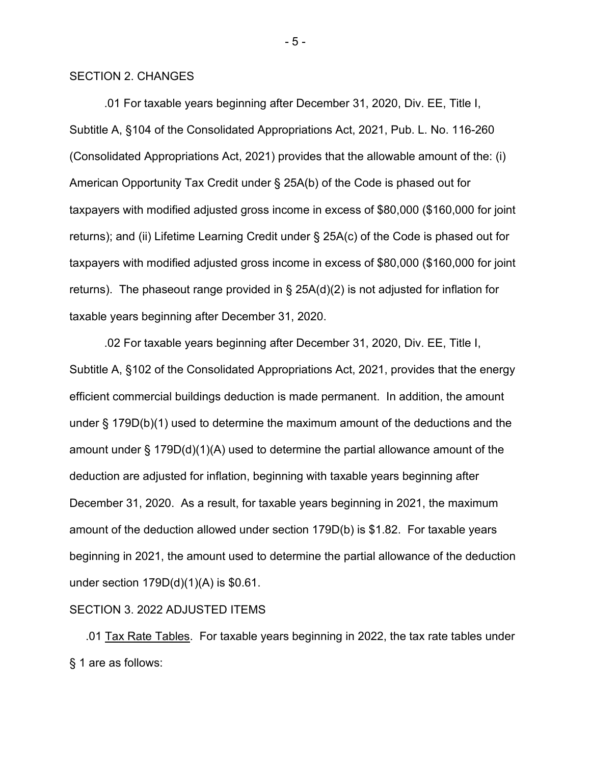### SECTION 2. CHANGES

 .01 For taxable years beginning after December 31, 2020, Div. EE, Title I, Subtitle A, §104 of the Consolidated Appropriations Act, 2021, Pub. L. No. 116-260 (Consolidated Appropriations Act, 2021) provides that the allowable amount of the: (i) American Opportunity Tax Credit under § 25A(b) of the Code is phased out for taxpayers with modified adjusted gross income in excess of \$80,000 (\$160,000 for joint returns); and (ii) Lifetime Learning Credit under § 25A(c) of the Code is phased out for taxpayers with modified adjusted gross income in excess of \$80,000 (\$160,000 for joint returns). The phaseout range provided in § 25A(d)(2) is not adjusted for inflation for taxable years beginning after December 31, 2020.

 .02 For taxable years beginning after December 31, 2020, Div. EE, Title I, Subtitle A, §102 of the Consolidated Appropriations Act, 2021, provides that the energy efficient commercial buildings deduction is made permanent. In addition, the amount under § 179D(b)(1) used to determine the maximum amount of the deductions and the amount under § 179D(d)(1)(A) used to determine the partial allowance amount of the deduction are adjusted for inflation, beginning with taxable years beginning after December 31, 2020. As a result, for taxable years beginning in 2021, the maximum amount of the deduction allowed under section 179D(b) is \$1.82. For taxable years beginning in 2021, the amount used to determine the partial allowance of the deduction under section 179D(d)(1)(A) is \$0.61.

### SECTION 3. 2022 ADJUSTED ITEMS

 .01 Tax Rate Tables. For taxable years beginning in 2022, the tax rate tables under § 1 are as follows:

- 5 -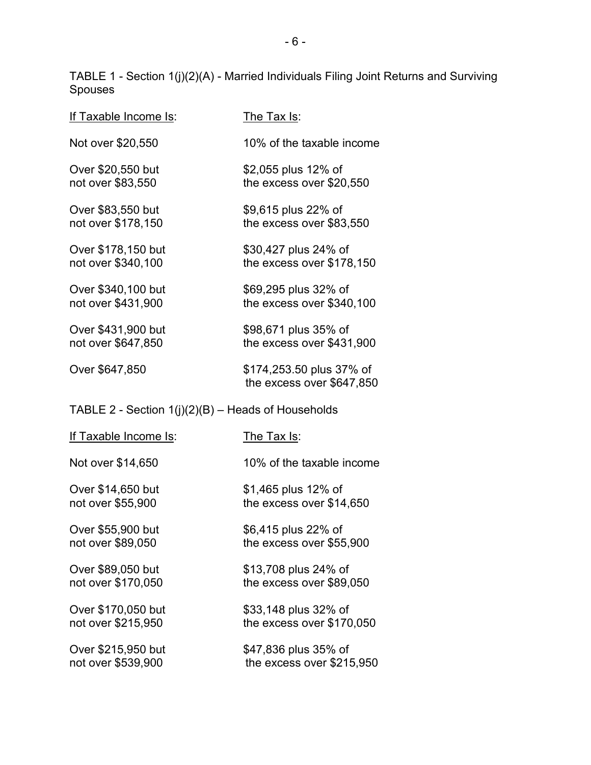TABLE 1 - Section 1(j)(2)(A) - Married Individuals Filing Joint Returns and Surviving Spouses

| If Taxable Income Is: | The Tax Is:                                           |
|-----------------------|-------------------------------------------------------|
| Not over \$20,550     | 10% of the taxable income                             |
| Over \$20,550 but     | \$2,055 plus 12% of                                   |
| not over \$83,550     | the excess over \$20,550                              |
| Over \$83,550 but     | \$9,615 plus 22% of                                   |
| not over \$178,150    | the excess over \$83,550                              |
| Over \$178,150 but    | \$30,427 plus 24% of                                  |
| not over \$340,100    | the excess over \$178,150                             |
| Over \$340,100 but    | \$69,295 plus 32% of                                  |
| not over \$431,900    | the excess over \$340,100                             |
| Over \$431,900 but    | \$98,671 plus 35% of                                  |
| not over \$647,850    | the excess over \$431,900                             |
| Over \$647,850        | \$174,253.50 plus 37% of<br>the excess over \$647,850 |

# TABLE 2 - Section 1(j)(2)(B) – Heads of Households

| If Taxable Income Is: | The Tax Is:               |
|-----------------------|---------------------------|
| Not over \$14,650     | 10% of the taxable income |
| Over \$14,650 but     | \$1,465 plus 12% of       |
| not over \$55,900     | the excess over \$14,650  |
| Over \$55,900 but     | \$6,415 plus 22% of       |
| not over \$89,050     | the excess over \$55,900  |
| Over \$89,050 but     | \$13,708 plus 24% of      |
| not over \$170,050    | the excess over \$89,050  |
| Over \$170,050 but    | \$33,148 plus 32% of      |
| not over \$215,950    | the excess over \$170,050 |
| Over \$215,950 but    | \$47,836 plus 35% of      |
| not over \$539,900    | the excess over \$215,950 |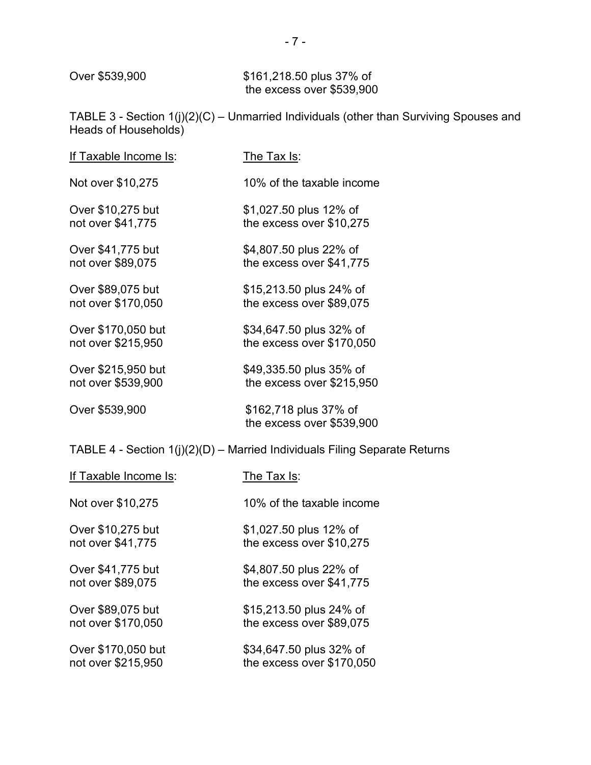Over \$539,900 \$161,218.50 plus 37% of the excess over \$539,900

TABLE 3 - Section 1(j)(2)(C) – Unmarried Individuals (other than Surviving Spouses and Heads of Households)

| If Taxable Income Is: | The Tax Is:                                        |
|-----------------------|----------------------------------------------------|
| Not over \$10,275     | 10% of the taxable income                          |
| Over \$10,275 but     | \$1,027.50 plus 12% of                             |
| not over \$41,775     | the excess over \$10,275                           |
| Over \$41,775 but     | \$4,807.50 plus 22% of                             |
| not over \$89,075     | the excess over \$41,775                           |
| Over \$89,075 but     | \$15,213.50 plus 24% of                            |
| not over \$170,050    | the excess over \$89,075                           |
| Over \$170,050 but    | \$34,647.50 plus 32% of                            |
| not over \$215,950    | the excess over \$170,050                          |
| Over \$215,950 but    | \$49,335.50 plus 35% of                            |
| not over \$539,900    | the excess over \$215,950                          |
| Over \$539,900        | \$162,718 plus 37% of<br>the excess over \$539,900 |

TABLE 4 - Section 1(j)(2)(D) – Married Individuals Filing Separate Returns

| If Taxable Income Is: | The Tax Is:               |
|-----------------------|---------------------------|
| Not over \$10,275     | 10% of the taxable income |
| Over \$10,275 but     | \$1,027.50 plus 12% of    |
| not over \$41,775     | the excess over \$10,275  |
| Over \$41,775 but     | \$4,807.50 plus 22% of    |
| not over \$89,075     | the excess over \$41,775  |
| Over \$89,075 but     | \$15,213.50 plus 24% of   |
| not over \$170,050    | the excess over \$89,075  |
| Over \$170,050 but    | \$34,647.50 plus 32% of   |
| not over \$215,950    | the excess over \$170,050 |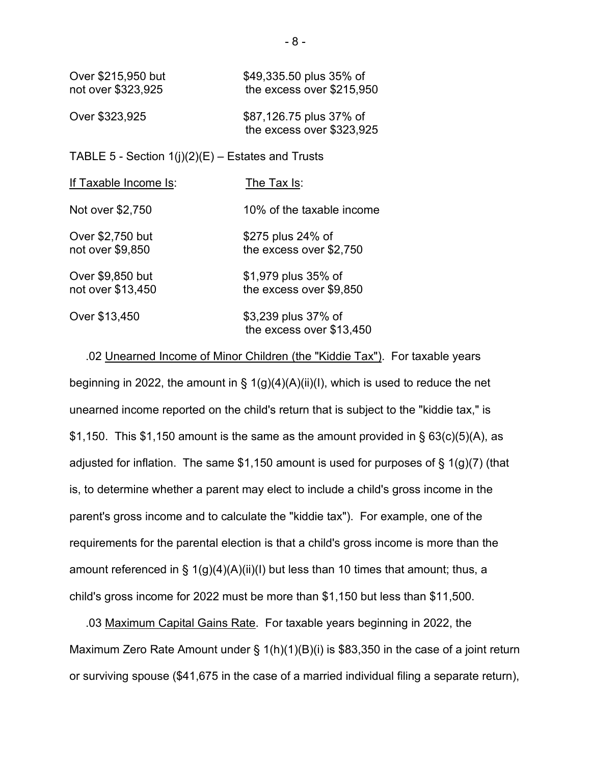| Over \$215,950 but | \$49,335.50 plus 35% of    |
|--------------------|----------------------------|
| not over \$323,925 | the excess over $$215,950$ |
|                    |                            |

| Over \$323,925 | \$87,126.75 plus 37% of   |
|----------------|---------------------------|
|                | the excess over \$323,925 |

### TABLE 5 - Section  $1(j)(2)(E)$  – Estates and Trusts

| If Taxable Income Is:                 | The Tax Is:                                     |
|---------------------------------------|-------------------------------------------------|
| Not over \$2,750                      | 10% of the taxable income                       |
| Over \$2,750 but<br>not over \$9,850  | \$275 plus 24% of<br>the excess over \$2,750    |
| Over \$9,850 but<br>not over \$13,450 | \$1,979 plus 35% of<br>the excess over \$9,850  |
| Over \$13,450                         | \$3,239 plus 37% of<br>the excess over \$13,450 |

 .02 Unearned Income of Minor Children (the "Kiddie Tax"). For taxable years beginning in 2022, the amount in §  $1(g)(4)(A)(ii)(I)$ , which is used to reduce the net unearned income reported on the child's return that is subject to the "kiddie tax," is \$1,150. This \$1,150 amount is the same as the amount provided in §  $63(c)(5)(A)$ , as adjusted for inflation. The same \$1,150 amount is used for purposes of  $\S$  1(g)(7) (that is, to determine whether a parent may elect to include a child's gross income in the parent's gross income and to calculate the "kiddie tax"). For example, one of the requirements for the parental election is that a child's gross income is more than the amount referenced in § 1(g)(4)(A)(ii)(I) but less than 10 times that amount; thus, a child's gross income for 2022 must be more than \$1,150 but less than \$11,500.

 .03 Maximum Capital Gains Rate. For taxable years beginning in 2022, the Maximum Zero Rate Amount under  $\S 1(h)(1)(B)(i)$  is \$83,350 in the case of a joint return or surviving spouse (\$41,675 in the case of a married individual filing a separate return),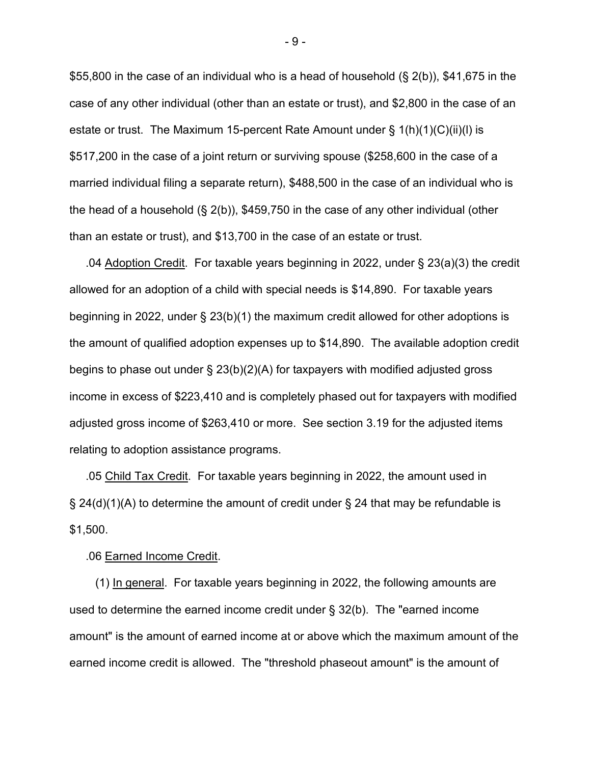\$55,800 in the case of an individual who is a head of household  $(\S 2(b))$ , \$41,675 in the case of any other individual (other than an estate or trust), and \$2,800 in the case of an estate or trust. The Maximum 15-percent Rate Amount under § 1(h)(1)(C)(ii)(l) is \$517,200 in the case of a joint return or surviving spouse (\$258,600 in the case of a married individual filing a separate return), \$488,500 in the case of an individual who is the head of a household (§ 2(b)), \$459,750 in the case of any other individual (other than an estate or trust), and \$13,700 in the case of an estate or trust.

 .04 Adoption Credit. For taxable years beginning in 2022, under § 23(a)(3) the credit allowed for an adoption of a child with special needs is \$14,890. For taxable years beginning in 2022, under § 23(b)(1) the maximum credit allowed for other adoptions is the amount of qualified adoption expenses up to \$14,890. The available adoption credit begins to phase out under  $\S 23(b)(2)(A)$  for taxpayers with modified adjusted gross income in excess of \$223,410 and is completely phased out for taxpayers with modified adjusted gross income of \$263,410 or more. See section 3.19 for the adjusted items relating to adoption assistance programs.

 .05 Child Tax Credit. For taxable years beginning in 2022, the amount used in § 24(d)(1)(A) to determine the amount of credit under § 24 that may be refundable is  $$1,500.$ 

#### .06 Earned Income Credit.

 (1) In general. For taxable years beginning in 2022, the following amounts are used to determine the earned income credit under § 32(b). The "earned income amount" is the amount of earned income at or above which the maximum amount of the earned income credit is allowed. The "threshold phaseout amount" is the amount of

- 9 -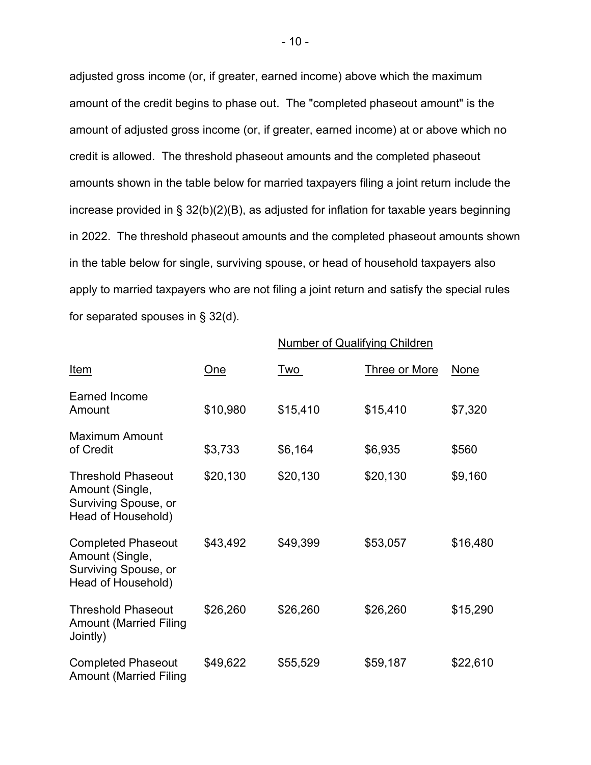adjusted gross income (or, if greater, earned income) above which the maximum amount of the credit begins to phase out. The "completed phaseout amount" is the amount of adjusted gross income (or, if greater, earned income) at or above which no credit is allowed. The threshold phaseout amounts and the completed phaseout amounts shown in the table below for married taxpayers filing a joint return include the increase provided in § 32(b)(2)(B), as adjusted for inflation for taxable years beginning in 2022. The threshold phaseout amounts and the completed phaseout amounts shown in the table below for single, surviving spouse, or head of household taxpayers also apply to married taxpayers who are not filing a joint return and satisfy the special rules for separated spouses in § 32(d).

Number of Qualifying Children

|                                                                                            |          | <u>tannon or gaam yn ig ormaronn</u> |                      |          |
|--------------------------------------------------------------------------------------------|----------|--------------------------------------|----------------------|----------|
| Item                                                                                       | One      | Two                                  | <b>Three or More</b> | None     |
| Earned Income<br>Amount                                                                    | \$10,980 | \$15,410                             | \$15,410             | \$7,320  |
| <b>Maximum Amount</b><br>of Credit                                                         | \$3,733  | \$6,164                              | \$6,935              | \$560    |
| <b>Threshold Phaseout</b><br>Amount (Single,<br>Surviving Spouse, or<br>Head of Household) | \$20,130 | \$20,130                             | \$20,130             | \$9,160  |
| <b>Completed Phaseout</b><br>Amount (Single,<br>Surviving Spouse, or<br>Head of Household) | \$43,492 | \$49,399                             | \$53,057             | \$16,480 |
| <b>Threshold Phaseout</b><br><b>Amount (Married Filing</b><br>Jointly)                     | \$26,260 | \$26,260                             | \$26,260             | \$15,290 |
| <b>Completed Phaseout</b><br><b>Amount (Married Filing</b>                                 | \$49,622 | \$55,529                             | \$59,187             | \$22,610 |

- 10 -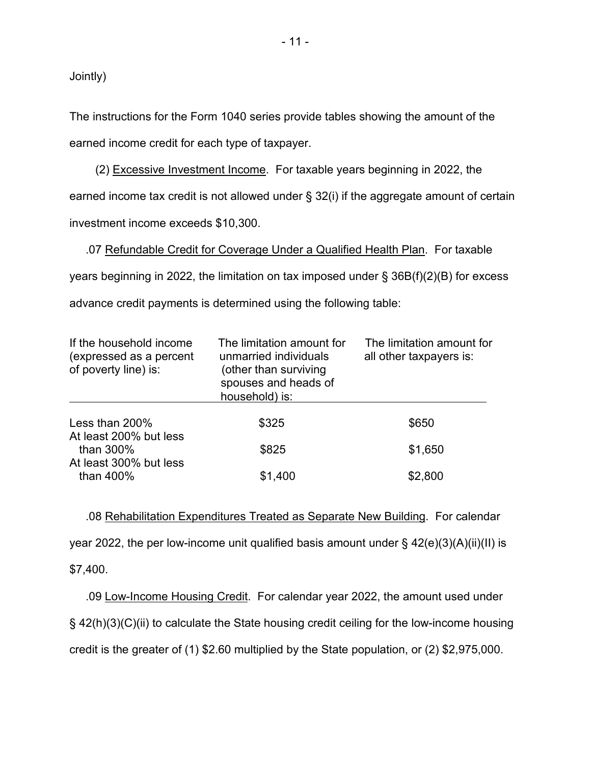Jointly)

The instructions for the Form 1040 series provide tables showing the amount of the earned income credit for each type of taxpayer.

 (2) Excessive Investment Income. For taxable years beginning in 2022, the earned income tax credit is not allowed under § 32(i) if the aggregate amount of certain investment income exceeds \$10,300.

 .07 Refundable Credit for Coverage Under a Qualified Health Plan. For taxable years beginning in 2022, the limitation on tax imposed under § 36B(f)(2)(B) for excess advance credit payments is determined using the following table:

| If the household income<br>(expressed as a percent<br>of poverty line) is: | The limitation amount for<br>unmarried individuals<br>(other than surviving<br>spouses and heads of<br>household) is: | The limitation amount for<br>all other taxpayers is: |
|----------------------------------------------------------------------------|-----------------------------------------------------------------------------------------------------------------------|------------------------------------------------------|
| Less than 200%                                                             | \$325                                                                                                                 | \$650                                                |
| At least 200% but less<br>than 300%                                        | \$825                                                                                                                 | \$1,650                                              |
| At least 300% but less<br>than 400%                                        | \$1,400                                                                                                               | \$2,800                                              |

 .08 Rehabilitation Expenditures Treated as Separate New Building. For calendar year 2022, the per low-income unit qualified basis amount under § 42(e)(3)(A)(ii)(II) is

\$7,400.

 .09 Low-Income Housing Credit. For calendar year 2022, the amount used under § 42(h)(3)(C)(ii) to calculate the State housing credit ceiling for the low-income housing credit is the greater of (1) \$2.60 multiplied by the State population, or (2) \$2,975,000.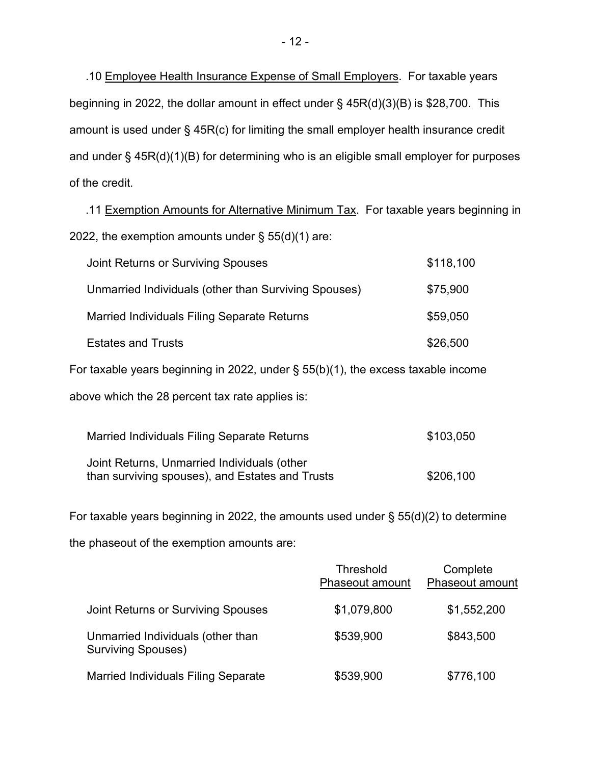.10 Employee Health Insurance Expense of Small Employers. For taxable years beginning in 2022, the dollar amount in effect under § 45R(d)(3)(B) is \$28,700. This amount is used under § 45R(c) for limiting the small employer health insurance credit and under § 45R(d)(1)(B) for determining who is an eligible small employer for purposes of the credit.

 .11 Exemption Amounts for Alternative Minimum Tax. For taxable years beginning in 2022, the exemption amounts under  $\S$  55(d)(1) are:

| Joint Returns or Surviving Spouses                                                  | \$118,100 |
|-------------------------------------------------------------------------------------|-----------|
| Unmarried Individuals (other than Surviving Spouses)                                | \$75,900  |
| Married Individuals Filing Separate Returns                                         | \$59,050  |
| <b>Estates and Trusts</b>                                                           | \$26,500  |
| For taxable years beginning in 2022, under $\S$ 55(b)(1), the excess taxable income |           |

above which the 28 percent tax rate applies is:

| Married Individuals Filing Separate Returns                                                    | \$103,050 |
|------------------------------------------------------------------------------------------------|-----------|
| Joint Returns, Unmarried Individuals (other<br>than surviving spouses), and Estates and Trusts | \$206,100 |

For taxable years beginning in 2022, the amounts used under § 55(d)(2) to determine

the phaseout of the exemption amounts are:

|                                                                | Threshold<br><b>Phaseout amount</b> | Complete<br><b>Phaseout amount</b> |
|----------------------------------------------------------------|-------------------------------------|------------------------------------|
| Joint Returns or Surviving Spouses                             | \$1,079,800                         | \$1,552,200                        |
| Unmarried Individuals (other than<br><b>Surviving Spouses)</b> | \$539,900                           | \$843,500                          |
| <b>Married Individuals Filing Separate</b>                     | \$539,900                           | \$776,100                          |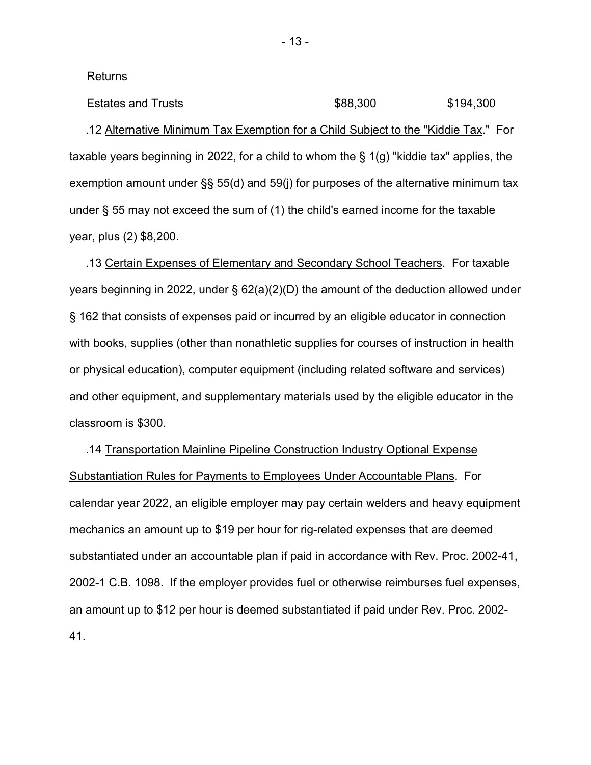Returns

Estates and Trusts **\$88,300** \$194,300 .12 Alternative Minimum Tax Exemption for a Child Subject to the "Kiddie Tax." For taxable years beginning in 2022, for a child to whom the § 1(g) "kiddie tax" applies, the exemption amount under §§ 55(d) and 59(j) for purposes of the alternative minimum tax under § 55 may not exceed the sum of (1) the child's earned income for the taxable year, plus (2) \$8,200.

 .13 Certain Expenses of Elementary and Secondary School Teachers. For taxable years beginning in 2022, under § 62(a)(2)(D) the amount of the deduction allowed under § 162 that consists of expenses paid or incurred by an eligible educator in connection with books, supplies (other than nonathletic supplies for courses of instruction in health or physical education), computer equipment (including related software and services) and other equipment, and supplementary materials used by the eligible educator in the classroom is \$300.

 .14 Transportation Mainline Pipeline Construction Industry Optional Expense Substantiation Rules for Payments to Employees Under Accountable Plans. For calendar year 2022, an eligible employer may pay certain welders and heavy equipment mechanics an amount up to \$19 per hour for rig-related expenses that are deemed substantiated under an accountable plan if paid in accordance with Rev. Proc. 2002-41, 2002-1 C.B. 1098. If the employer provides fuel or otherwise reimburses fuel expenses, an amount up to \$12 per hour is deemed substantiated if paid under Rev. Proc. 2002- 41.

- 13 -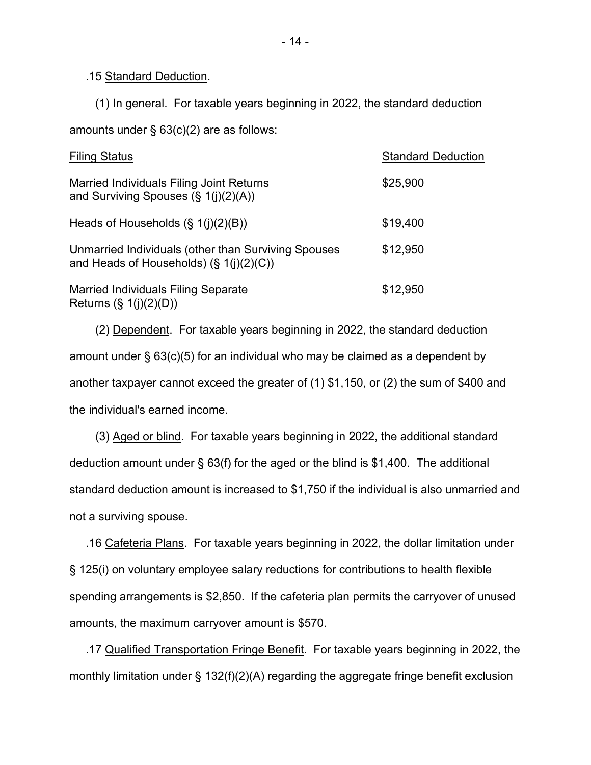### .15 Standard Deduction.

(1) In general. For taxable years beginning in 2022, the standard deduction

amounts under § 63(c)(2) are as follows:

| <b>Filing Status</b>                                                                              | <b>Standard Deduction</b> |
|---------------------------------------------------------------------------------------------------|---------------------------|
| Married Individuals Filing Joint Returns<br>and Surviving Spouses $(\S 1(j)(2)(A))$               | \$25,900                  |
| Heads of Households $(\S 1(i)(2)(B))$                                                             | \$19,400                  |
| Unmarried Individuals (other than Surviving Spouses<br>and Heads of Households) $(\S 1(i)(2)(C))$ | \$12,950                  |
| <b>Married Individuals Filing Separate</b><br>Returns $(\S 1(i)(2)(D))$                           | \$12,950                  |

 (2) Dependent. For taxable years beginning in 2022, the standard deduction amount under § 63(c)(5) for an individual who may be claimed as a dependent by another taxpayer cannot exceed the greater of (1) \$1,150, or (2) the sum of \$400 and the individual's earned income.

 (3) Aged or blind. For taxable years beginning in 2022, the additional standard deduction amount under § 63(f) for the aged or the blind is \$1,400. The additional standard deduction amount is increased to \$1,750 if the individual is also unmarried and not a surviving spouse.

 .16 Cafeteria Plans. For taxable years beginning in 2022, the dollar limitation under § 125(i) on voluntary employee salary reductions for contributions to health flexible spending arrangements is \$2,850. If the cafeteria plan permits the carryover of unused amounts, the maximum carryover amount is \$570.

 .17 Qualified Transportation Fringe Benefit. For taxable years beginning in 2022, the monthly limitation under § 132(f)(2)(A) regarding the aggregate fringe benefit exclusion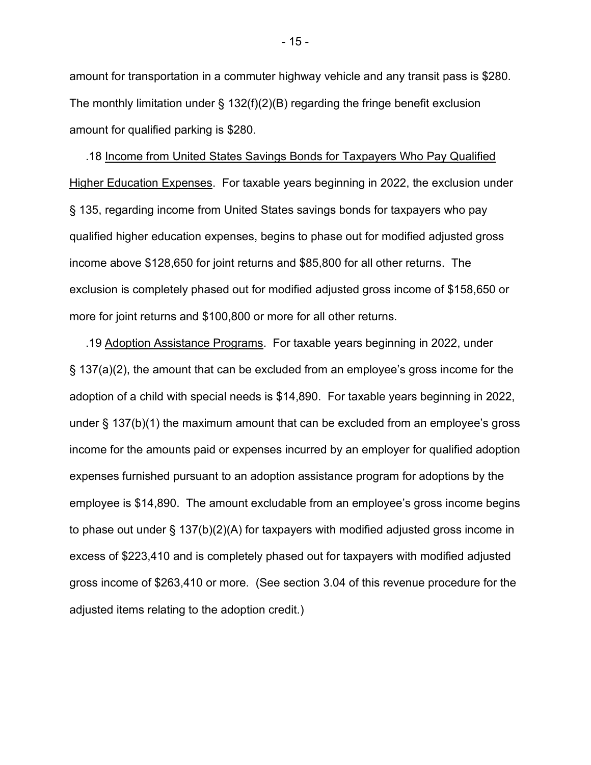amount for transportation in a commuter highway vehicle and any transit pass is \$280. The monthly limitation under  $\S$  132(f)(2)(B) regarding the fringe benefit exclusion amount for qualified parking is \$280.

 .18 Income from United States Savings Bonds for Taxpayers Who Pay Qualified Higher Education Expenses. For taxable years beginning in 2022, the exclusion under § 135, regarding income from United States savings bonds for taxpayers who pay qualified higher education expenses, begins to phase out for modified adjusted gross income above \$128,650 for joint returns and \$85,800 for all other returns. The exclusion is completely phased out for modified adjusted gross income of \$158,650 or more for joint returns and \$100,800 or more for all other returns.

 .19 Adoption Assistance Programs. For taxable years beginning in 2022, under § 137(a)(2), the amount that can be excluded from an employee's gross income for the adoption of a child with special needs is \$14,890. For taxable years beginning in 2022, under § 137(b)(1) the maximum amount that can be excluded from an employee's gross income for the amounts paid or expenses incurred by an employer for qualified adoption expenses furnished pursuant to an adoption assistance program for adoptions by the employee is \$14,890. The amount excludable from an employee's gross income begins to phase out under § 137(b)(2)(A) for taxpayers with modified adjusted gross income in excess of \$223,410 and is completely phased out for taxpayers with modified adjusted gross income of \$263,410 or more. (See section 3.04 of this revenue procedure for the adjusted items relating to the adoption credit.)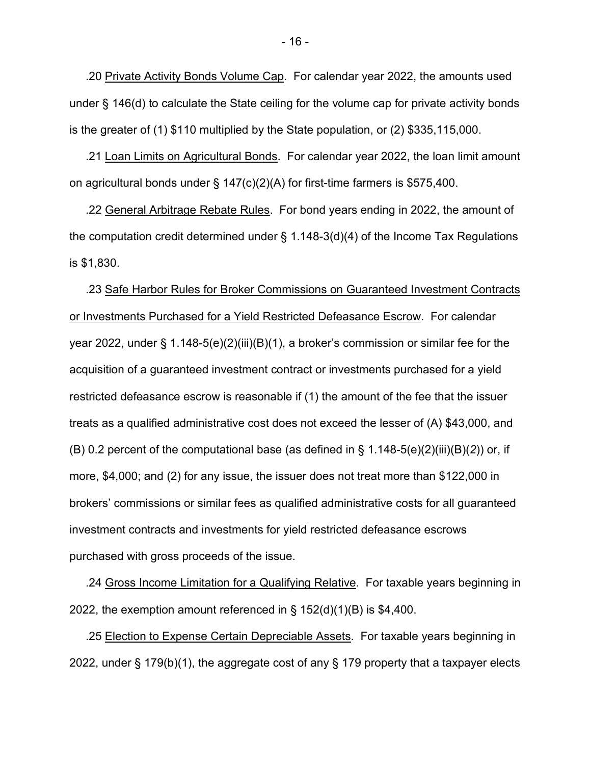.20 Private Activity Bonds Volume Cap. For calendar year 2022, the amounts used under § 146(d) to calculate the State ceiling for the volume cap for private activity bonds is the greater of (1) \$110 multiplied by the State population, or (2) \$335,115,000.

 .21 Loan Limits on Agricultural Bonds. For calendar year 2022, the loan limit amount on agricultural bonds under  $\S$  147(c)(2)(A) for first-time farmers is \$575,400.

 .22 General Arbitrage Rebate Rules. For bond years ending in 2022, the amount of the computation credit determined under § 1.148-3(d)(4) of the Income Tax Regulations is \$1,830.

 .23 Safe Harbor Rules for Broker Commissions on Guaranteed Investment Contracts or Investments Purchased for a Yield Restricted Defeasance Escrow. For calendar year 2022, under § 1.148-5(e)(2)(iii)(B)(1), a broker's commission or similar fee for the acquisition of a guaranteed investment contract or investments purchased for a yield restricted defeasance escrow is reasonable if (1) the amount of the fee that the issuer treats as a qualified administrative cost does not exceed the lesser of (A) \$43,000, and (B) 0.2 percent of the computational base (as defined in § 1.148-5(e)(2)(iii)(B)(*2*)) or, if more, \$4,000; and (2) for any issue, the issuer does not treat more than \$122,000 in brokers' commissions or similar fees as qualified administrative costs for all guaranteed investment contracts and investments for yield restricted defeasance escrows purchased with gross proceeds of the issue.

 .24 Gross Income Limitation for a Qualifying Relative. For taxable years beginning in 2022, the exemption amount referenced in § 152(d)(1)(B) is \$4,400.

 .25 Election to Expense Certain Depreciable Assets. For taxable years beginning in 2022, under § 179(b)(1), the aggregate cost of any § 179 property that a taxpayer elects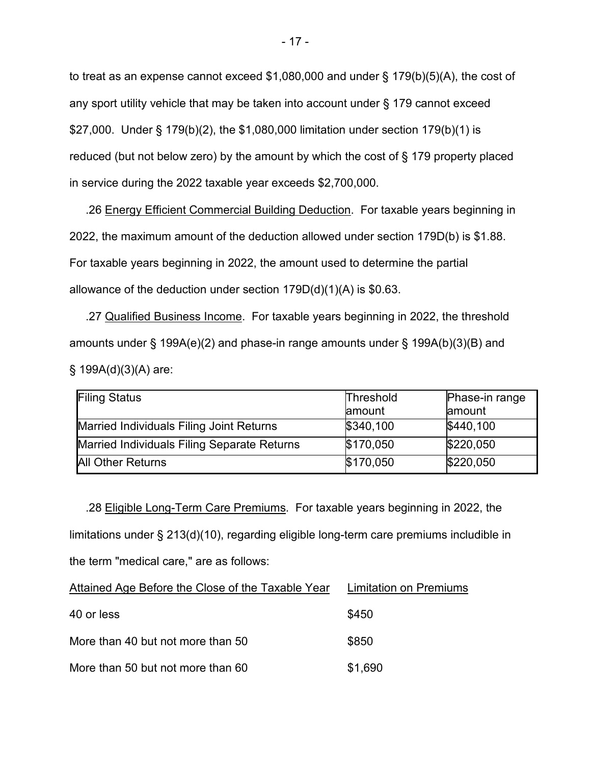to treat as an expense cannot exceed \$1,080,000 and under § 179(b)(5)(A), the cost of any sport utility vehicle that may be taken into account under § 179 cannot exceed \$27,000. Under § 179(b)(2), the \$1,080,000 limitation under section 179(b)(1) is reduced (but not below zero) by the amount by which the cost of § 179 property placed in service during the 2022 taxable year exceeds \$2,700,000.

 .26 Energy Efficient Commercial Building Deduction. For taxable years beginning in 2022, the maximum amount of the deduction allowed under section 179D(b) is \$1.88. For taxable years beginning in 2022, the amount used to determine the partial allowance of the deduction under section 179D(d)(1)(A) is \$0.63.

 .27 Qualified Business Income. For taxable years beginning in 2022, the threshold amounts under § 199A(e)(2) and phase-in range amounts under § 199A(b)(3)(B) and  $§ 199A(d)(3)(A)$  are:

| <b>Filing Status</b>                        | Threshold<br>lamount | Phase-in range<br>lamount |
|---------------------------------------------|----------------------|---------------------------|
| Married Individuals Filing Joint Returns    | \$340,100            | \$440,100                 |
| Married Individuals Filing Separate Returns | \$170,050            | \$220,050                 |
| <b>All Other Returns</b>                    | \$170,050            | \$220,050                 |

 .28 Eligible Long-Term Care Premiums. For taxable years beginning in 2022, the limitations under § 213(d)(10), regarding eligible long-term care premiums includible in the term "medical care," are as follows:

| Attained Age Before the Close of the Taxable Year | <b>Limitation on Premiums</b> |  |
|---------------------------------------------------|-------------------------------|--|
| 40 or less                                        | \$450                         |  |
| More than 40 but not more than 50                 | \$850                         |  |
| More than 50 but not more than 60                 | \$1,690                       |  |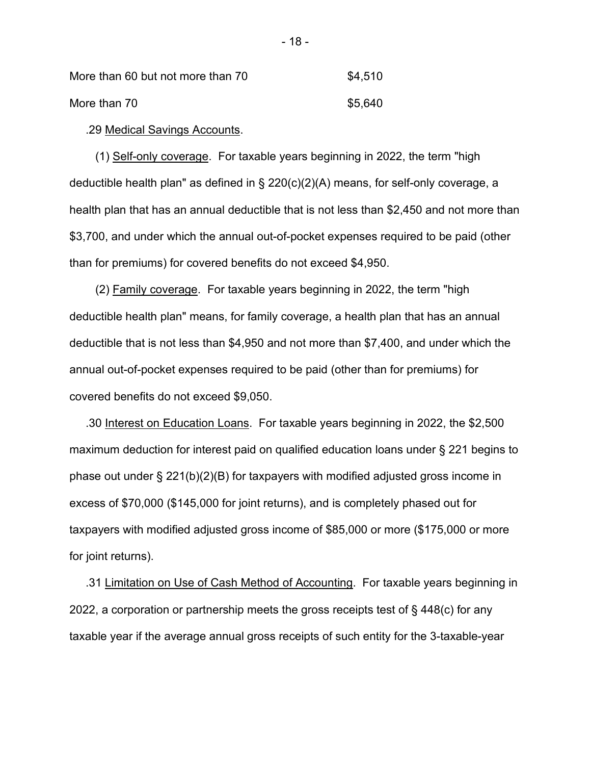| More than 60 but not more than 70 | \$4,510 |
|-----------------------------------|---------|
| More than 70                      | \$5,640 |

.29 Medical Savings Accounts.

 (1) Self-only coverage. For taxable years beginning in 2022, the term "high deductible health plan" as defined in § 220(c)(2)(A) means, for self-only coverage, a health plan that has an annual deductible that is not less than \$2,450 and not more than \$3,700, and under which the annual out-of-pocket expenses required to be paid (other than for premiums) for covered benefits do not exceed \$4,950.

 (2) Family coverage. For taxable years beginning in 2022, the term "high deductible health plan" means, for family coverage, a health plan that has an annual deductible that is not less than \$4,950 and not more than \$7,400, and under which the annual out-of-pocket expenses required to be paid (other than for premiums) for covered benefits do not exceed \$9,050.

 .30 Interest on Education Loans. For taxable years beginning in 2022, the \$2,500 maximum deduction for interest paid on qualified education loans under § 221 begins to phase out under § 221(b)(2)(B) for taxpayers with modified adjusted gross income in excess of \$70,000 (\$145,000 for joint returns), and is completely phased out for taxpayers with modified adjusted gross income of \$85,000 or more (\$175,000 or more for joint returns).

 .31 Limitation on Use of Cash Method of Accounting. For taxable years beginning in 2022, a corporation or partnership meets the gross receipts test of § 448(c) for any taxable year if the average annual gross receipts of such entity for the 3-taxable-year

- 18 -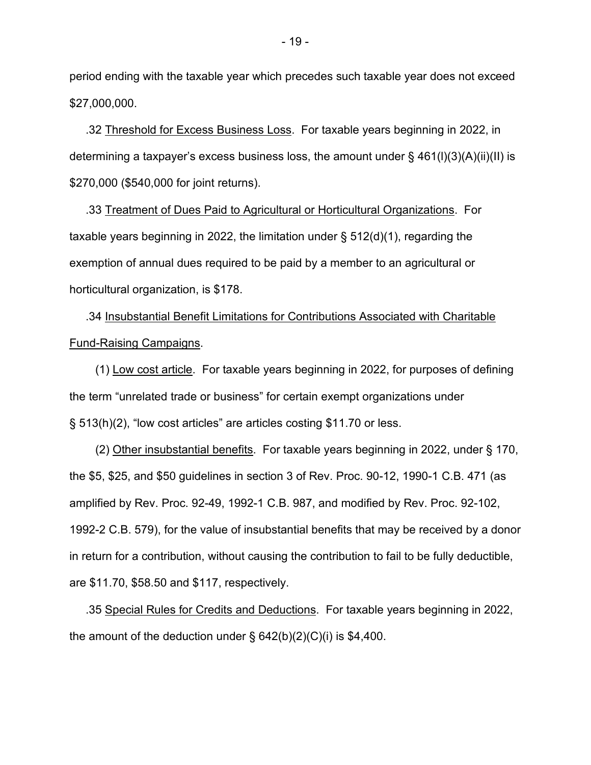period ending with the taxable year which precedes such taxable year does not exceed \$27,000,000.

 .32 Threshold for Excess Business Loss. For taxable years beginning in 2022, in determining a taxpayer's excess business loss, the amount under  $\S$  461(l)(3)(A)(ii)(ll) is \$270,000 (\$540,000 for joint returns).

 .33 Treatment of Dues Paid to Agricultural or Horticultural Organizations. For taxable years beginning in 2022, the limitation under  $\S$  512(d)(1), regarding the exemption of annual dues required to be paid by a member to an agricultural or horticultural organization, is \$178.

 .34 Insubstantial Benefit Limitations for Contributions Associated with Charitable Fund-Raising Campaigns.

 (1) Low cost article. For taxable years beginning in 2022, for purposes of defining the term "unrelated trade or business" for certain exempt organizations under § 513(h)(2), "low cost articles" are articles costing \$11.70 or less.

 (2) Other insubstantial benefits. For taxable years beginning in 2022, under § 170, the \$5, \$25, and \$50 guidelines in section 3 of Rev. Proc. 90-12, 1990-1 C.B. 471 (as amplified by Rev. Proc. 92-49, 1992-1 C.B. 987, and modified by Rev. Proc. 92-102, 1992-2 C.B. 579), for the value of insubstantial benefits that may be received by a donor in return for a contribution, without causing the contribution to fail to be fully deductible, are \$11.70, \$58.50 and \$117, respectively.

 .35 Special Rules for Credits and Deductions. For taxable years beginning in 2022, the amount of the deduction under  $\S$  642(b)(2)(C)(i) is \$4,400.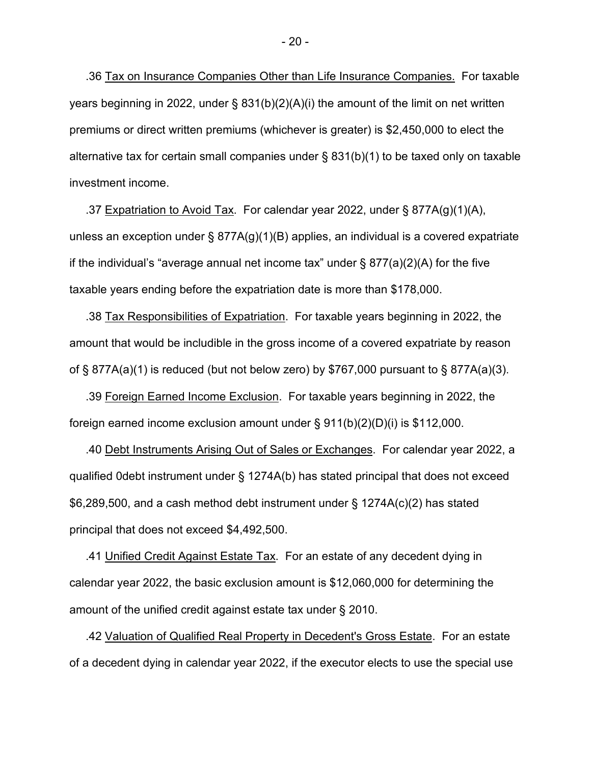.36 Tax on Insurance Companies Other than Life Insurance Companies. For taxable years beginning in 2022, under § 831(b)(2)(A)(i) the amount of the limit on net written premiums or direct written premiums (whichever is greater) is \$2,450,000 to elect the alternative tax for certain small companies under § 831(b)(1) to be taxed only on taxable investment income.

.37 Expatriation to Avoid Tax. For calendar year 2022, under  $\S$  877A(g)(1)(A), unless an exception under § 877A(g)(1)(B) applies, an individual is a covered expatriate if the individual's "average annual net income tax" under  $\S 877(a)(2)(A)$  for the five taxable years ending before the expatriation date is more than \$178,000.

 .38 Tax Responsibilities of Expatriation. For taxable years beginning in 2022, the amount that would be includible in the gross income of a covered expatriate by reason of § 877A(a)(1) is reduced (but not below zero) by \$767,000 pursuant to § 877A(a)(3).

 .39 Foreign Earned Income Exclusion. For taxable years beginning in 2022, the foreign earned income exclusion amount under § 911(b)(2)(D)(i) is \$112,000.

 .40 Debt Instruments Arising Out of Sales or Exchanges. For calendar year 2022, a qualified 0debt instrument under § 1274A(b) has stated principal that does not exceed \$6,289,500, and a cash method debt instrument under § 1274A(c)(2) has stated principal that does not exceed \$4,492,500.

 .41 Unified Credit Against Estate Tax. For an estate of any decedent dying in calendar year 2022, the basic exclusion amount is \$12,060,000 for determining the amount of the unified credit against estate tax under § 2010.

 .42 Valuation of Qualified Real Property in Decedent's Gross Estate. For an estate of a decedent dying in calendar year 2022, if the executor elects to use the special use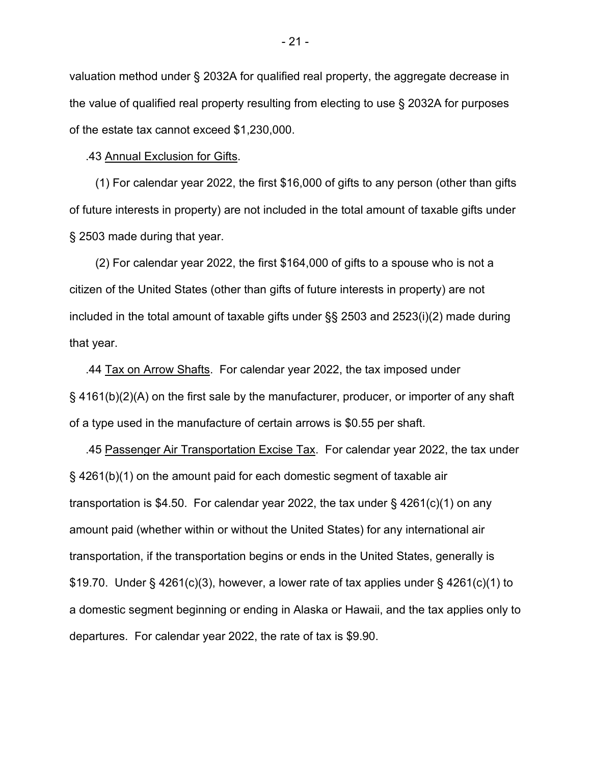valuation method under § 2032A for qualified real property, the aggregate decrease in the value of qualified real property resulting from electing to use § 2032A for purposes of the estate tax cannot exceed \$1,230,000.

.43 Annual Exclusion for Gifts.

 (1) For calendar year 2022, the first \$16,000 of gifts to any person (other than gifts of future interests in property) are not included in the total amount of taxable gifts under § 2503 made during that year.

 (2) For calendar year 2022, the first \$164,000 of gifts to a spouse who is not a citizen of the United States (other than gifts of future interests in property) are not included in the total amount of taxable gifts under §§ 2503 and 2523(i)(2) made during that year.

 .44 Tax on Arrow Shafts. For calendar year 2022, the tax imposed under § 4161(b)(2)(A) on the first sale by the manufacturer, producer, or importer of any shaft of a type used in the manufacture of certain arrows is \$0.55 per shaft.

 .45 Passenger Air Transportation Excise Tax. For calendar year 2022, the tax under § 4261(b)(1) on the amount paid for each domestic segment of taxable air transportation is \$4.50. For calendar year 2022, the tax under § 4261(c)(1) on any amount paid (whether within or without the United States) for any international air transportation, if the transportation begins or ends in the United States, generally is \$19.70. Under § 4261(c)(3), however, a lower rate of tax applies under § 4261(c)(1) to a domestic segment beginning or ending in Alaska or Hawaii, and the tax applies only to departures. For calendar year 2022, the rate of tax is \$9.90.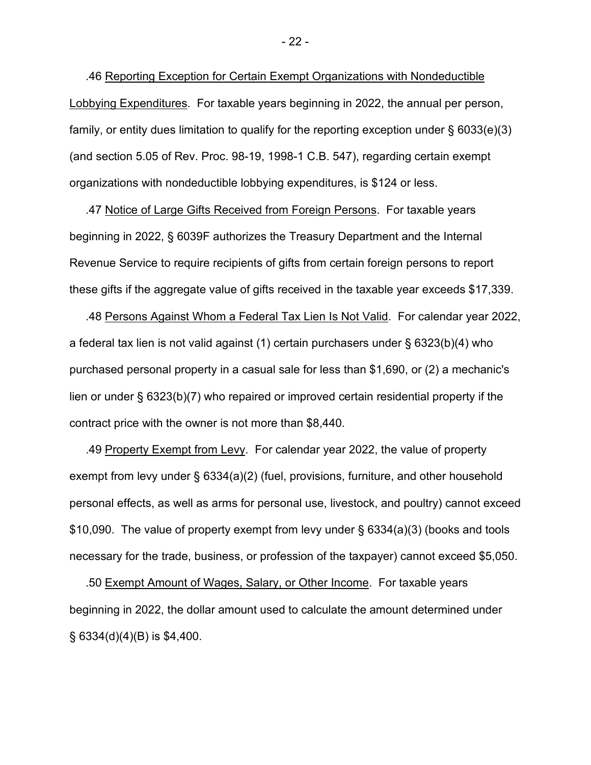.46 Reporting Exception for Certain Exempt Organizations with Nondeductible Lobbying Expenditures. For taxable years beginning in 2022, the annual per person, family, or entity dues limitation to qualify for the reporting exception under § 6033(e)(3) (and section 5.05 of Rev. Proc. 98-19, 1998-1 C.B. 547), regarding certain exempt organizations with nondeductible lobbying expenditures, is \$124 or less.

 .47 Notice of Large Gifts Received from Foreign Persons. For taxable years beginning in 2022, § 6039F authorizes the Treasury Department and the Internal Revenue Service to require recipients of gifts from certain foreign persons to report these gifts if the aggregate value of gifts received in the taxable year exceeds \$17,339.

 .48 Persons Against Whom a Federal Tax Lien Is Not Valid. For calendar year 2022, a federal tax lien is not valid against (1) certain purchasers under § 6323(b)(4) who purchased personal property in a casual sale for less than \$1,690, or (2) a mechanic's lien or under § 6323(b)(7) who repaired or improved certain residential property if the contract price with the owner is not more than \$8,440.

 .49 Property Exempt from Levy. For calendar year 2022, the value of property exempt from levy under § 6334(a)(2) (fuel, provisions, furniture, and other household personal effects, as well as arms for personal use, livestock, and poultry) cannot exceed \$10,090. The value of property exempt from levy under § 6334(a)(3) (books and tools necessary for the trade, business, or profession of the taxpayer) cannot exceed \$5,050.

 .50 Exempt Amount of Wages, Salary, or Other Income. For taxable years beginning in 2022, the dollar amount used to calculate the amount determined under  $\S$  6334(d)(4)(B) is \$4,400.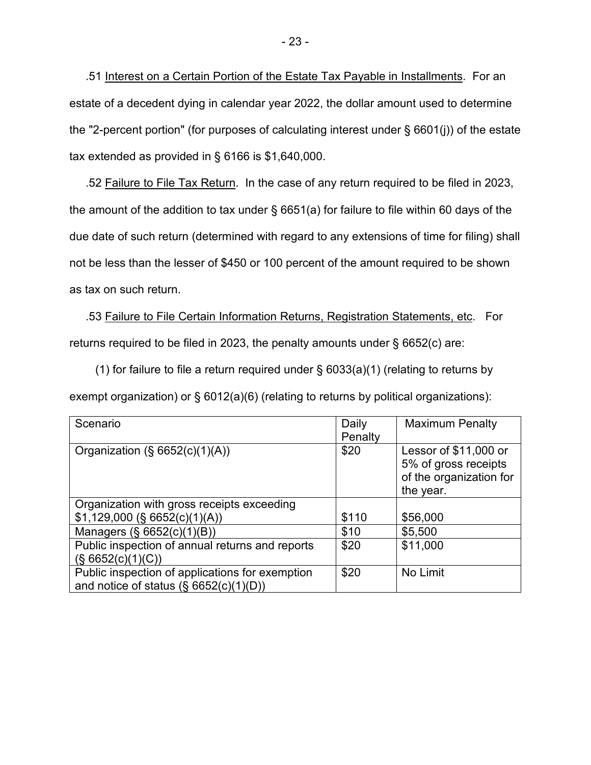.51 Interest on a Certain Portion of the Estate Tax Payable in Installments. For an estate of a decedent dying in calendar year 2022, the dollar amount used to determine the "2-percent portion" (for purposes of calculating interest under § 6601(j)) of the estate tax extended as provided in § 6166 is \$1,640,000.

 .52 Failure to File Tax Return. In the case of any return required to be filed in 2023, the amount of the addition to tax under § 6651(a) for failure to file within 60 days of the due date of such return (determined with regard to any extensions of time for filing) shall not be less than the lesser of \$450 or 100 percent of the amount required to be shown as tax on such return.

 .53 Failure to File Certain Information Returns, Registration Statements, etc. For returns required to be filed in 2023, the penalty amounts under § 6652(c) are:

(1) for failure to file a return required under  $\S$  6033(a)(1) (relating to returns by exempt organization) or § 6012(a)(6) (relating to returns by political organizations):

| Scenario                                                                                     | Daily<br>Penalty | <b>Maximum Penalty</b>                                                                |
|----------------------------------------------------------------------------------------------|------------------|---------------------------------------------------------------------------------------|
| Organization $(\S 6652(c)(1)(A))$                                                            | \$20             | Lessor of \$11,000 or<br>5% of gross receipts<br>of the organization for<br>the year. |
| Organization with gross receipts exceeding                                                   |                  |                                                                                       |
| $$1,129,000$ (§ 6652(c)(1)(A))                                                               | \$110            | \$56,000                                                                              |
| Managers (§ 6652(c)(1)(B))                                                                   | \$10             | \$5,500                                                                               |
| Public inspection of annual returns and reports<br>(S 6652(c)(1)(C))                         | \$20             | \$11,000                                                                              |
| Public inspection of applications for exemption<br>and notice of status $(\S 6652(c)(1)(D))$ | \$20             | No Limit                                                                              |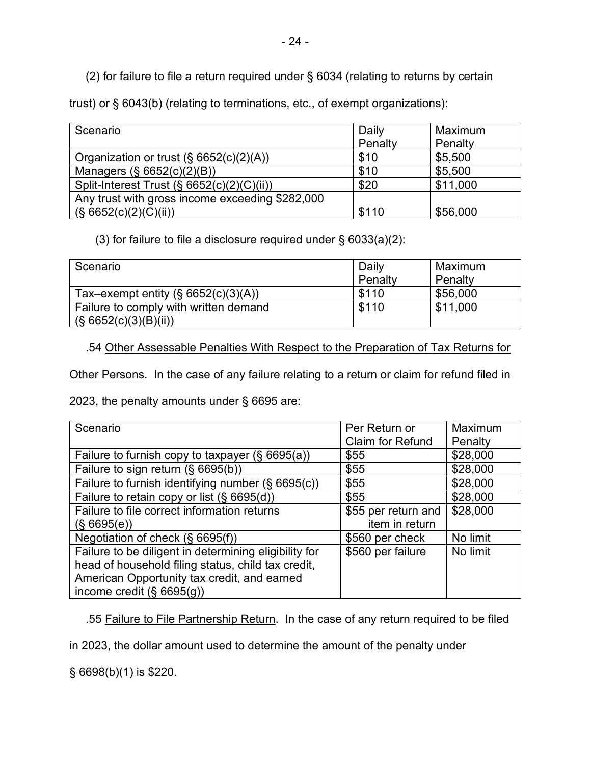(2) for failure to file a return required under § 6034 (relating to returns by certain

trust) or § 6043(b) (relating to terminations, etc., of exempt organizations):

| Scenario                                        | Daily   | Maximum  |
|-------------------------------------------------|---------|----------|
|                                                 | Penalty | Penalty  |
| Organization or trust $(\S 6652(c)(2)(A))$      | \$10    | \$5,500  |
| Managers (§ 6652(c)(2)(B))                      | \$10    | \$5,500  |
| Split-Interest Trust (§ 6652(c)(2)(C)(ii))      | \$20    | \$11,000 |
| Any trust with gross income exceeding \$282,000 |         |          |
| (S 6652(c)(2)(C)(ii))                           | \$110   | \$56,000 |

(3) for failure to file a disclosure required under § 6033(a)(2):

| Scenario                                                       | Daily<br>Penalty | Maximum<br>Penalty |
|----------------------------------------------------------------|------------------|--------------------|
| Tax-exempt entity $(\S 6652(c)(3)(A))$                         | \$110            | \$56,000           |
| Failure to comply with written demand<br>(S 6652(c)(3)(B)(ii)) | \$110            | \$11,000           |

.54 Other Assessable Penalties With Respect to the Preparation of Tax Returns for

Other Persons. In the case of any failure relating to a return or claim for refund filed in

2023, the penalty amounts under § 6695 are:

| Scenario                                              | Per Return or           | Maximum  |
|-------------------------------------------------------|-------------------------|----------|
|                                                       | <b>Claim for Refund</b> | Penalty  |
| Failure to furnish copy to taxpayer $(\S$ 6695(a))    | \$55                    | \$28,000 |
| Failure to sign return (§ 6695(b))                    | \$55                    | \$28,000 |
| Failure to furnish identifying number (§ 6695(c))     | \$55                    | \$28,000 |
| Failure to retain copy or list (§ 6695(d))            | \$55                    | \$28,000 |
| Failure to file correct information returns           | \$55 per return and     | \$28,000 |
| (S, 6695(e))                                          | item in return          |          |
| Negotiation of check (§ 6695(f))                      | \$560 per check         | No limit |
| Failure to be diligent in determining eligibility for | \$560 per failure       | No limit |
| head of household filing status, child tax credit,    |                         |          |
| American Opportunity tax credit, and earned           |                         |          |
| income credit $(\S 6695(g))$                          |                         |          |

.55 Failure to File Partnership Return. In the case of any return required to be filed

in 2023, the dollar amount used to determine the amount of the penalty under

§ 6698(b)(1) is \$220.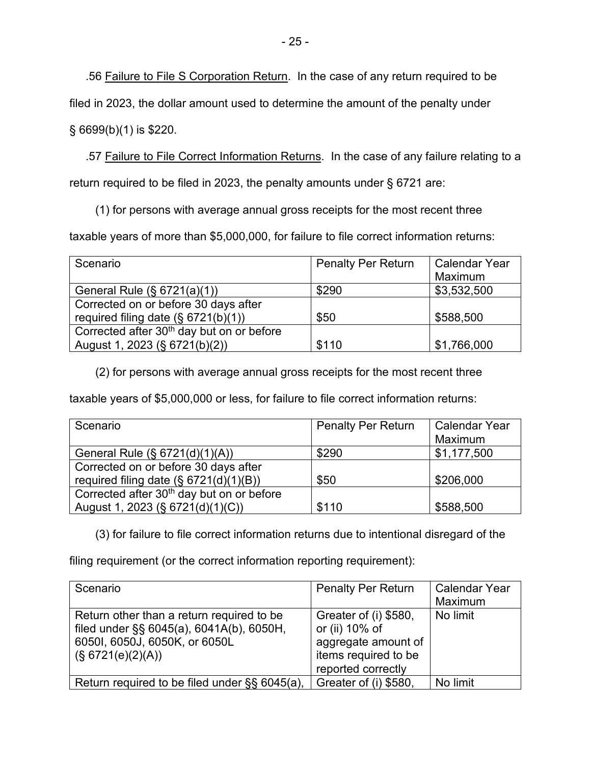.56 Failure to File S Corporation Return. In the case of any return required to be

filed in 2023, the dollar amount used to determine the amount of the penalty under

§ 6699(b)(1) is \$220.

 .57 Failure to File Correct Information Returns. In the case of any failure relating to a return required to be filed in 2023, the penalty amounts under § 6721 are:

(1) for persons with average annual gross receipts for the most recent three

taxable years of more than \$5,000,000, for failure to file correct information returns:

| Scenario                                              | <b>Penalty Per Return</b> | <b>Calendar Year</b> |
|-------------------------------------------------------|---------------------------|----------------------|
|                                                       |                           | Maximum              |
| General Rule (§ 6721(a)(1))                           | \$290                     | \$3,532,500          |
| Corrected on or before 30 days after                  |                           |                      |
| required filing date $(\S 6721(b)(1))$                | \$50                      | \$588,500            |
| Corrected after 30 <sup>th</sup> day but on or before |                           |                      |
| August 1, 2023 (§ 6721(b)(2))                         | \$110                     | \$1,766,000          |

(2) for persons with average annual gross receipts for the most recent three

taxable years of \$5,000,000 or less, for failure to file correct information returns:

| Scenario                                              | <b>Penalty Per Return</b> | <b>Calendar Year</b> |
|-------------------------------------------------------|---------------------------|----------------------|
|                                                       |                           | Maximum              |
| General Rule (§ 6721(d)(1)(A))                        | \$290                     | \$1,177,500          |
| Corrected on or before 30 days after                  |                           |                      |
| required filing date $(S \ 6721(d)(1)(B))$            | \$50                      | \$206,000            |
| Corrected after 30 <sup>th</sup> day but on or before |                           |                      |
| August 1, 2023 (§ 6721(d)(1)(C))                      | \$110                     | \$588,500            |

(3) for failure to file correct information returns due to intentional disregard of the

filing requirement (or the correct information reporting requirement):

| Scenario                                                                                                                                    | <b>Penalty Per Return</b>                                                                                    | <b>Calendar Year</b><br>Maximum |
|---------------------------------------------------------------------------------------------------------------------------------------------|--------------------------------------------------------------------------------------------------------------|---------------------------------|
| Return other than a return required to be<br>filed under §§ 6045(a), 6041A(b), 6050H,<br>6050I, 6050J, 6050K, or 6050L<br>(S 6721(e)(2)(A)) | Greater of (i) \$580,<br>or (ii) 10% of<br>aggregate amount of<br>items required to be<br>reported correctly | No limit                        |
| Return required to be filed under §§ 6045(a),                                                                                               | Greater of (i) \$580,                                                                                        | No limit                        |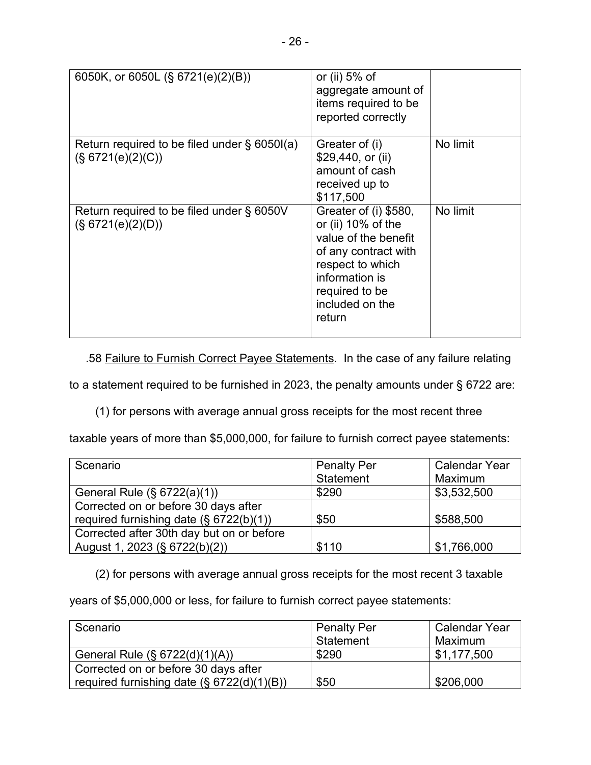| 6050K, or 6050L (§ 6721(e)(2)(B))                                    | or (ii) $5%$ of<br>aggregate amount of<br>items required to be<br>reported correctly                                                                                             |          |
|----------------------------------------------------------------------|----------------------------------------------------------------------------------------------------------------------------------------------------------------------------------|----------|
| Return required to be filed under $\S$ 6050I(a)<br>(S 6721(e)(2)(C)) | Greater of (i)<br>\$29,440, or (ii)<br>amount of cash<br>received up to<br>\$117,500                                                                                             | No limit |
| Return required to be filed under § 6050V<br>(S 6721(e)(2)(D))       | Greater of (i) \$580,<br>or (ii) 10% of the<br>value of the benefit<br>of any contract with<br>respect to which<br>information is<br>required to be<br>included on the<br>return | No limit |

.58 Failure to Furnish Correct Payee Statements. In the case of any failure relating

to a statement required to be furnished in 2023, the penalty amounts under § 6722 are:

(1) for persons with average annual gross receipts for the most recent three

taxable years of more than \$5,000,000, for failure to furnish correct payee statements:

| Scenario                                   | <b>Penalty Per</b> | <b>Calendar Year</b> |
|--------------------------------------------|--------------------|----------------------|
|                                            | Statement          | Maximum              |
| General Rule (§ 6722(a)(1))                | \$290              | \$3,532,500          |
| Corrected on or before 30 days after       |                    |                      |
| required furnishing date $(\S 6722(b)(1))$ | \$50               | \$588,500            |
| Corrected after 30th day but on or before  |                    |                      |
| August 1, 2023 (§ 6722(b)(2))              | \$110              | \$1,766,000          |

(2) for persons with average annual gross receipts for the most recent 3 taxable

years of \$5,000,000 or less, for failure to furnish correct payee statements:

| Scenario                                       | <b>Penalty Per</b> | <b>Calendar Year</b> |
|------------------------------------------------|--------------------|----------------------|
|                                                | Statement          | Maximum              |
| General Rule (§ 6722(d)(1)(A))                 | \$290              | \$1,177,500          |
| Corrected on or before 30 days after           |                    |                      |
| required furnishing date $(S \ 6722(d)(1)(B))$ | \$50               | \$206,000            |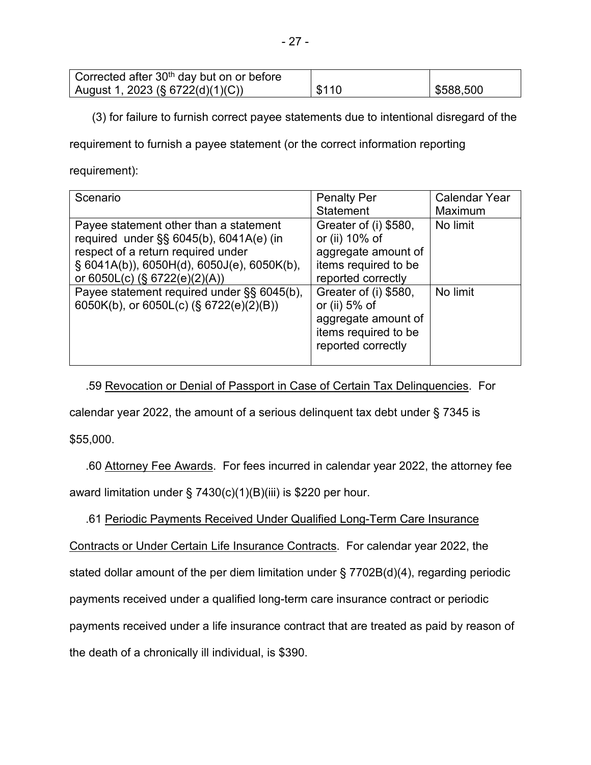| Corrected after 30 <sup>th</sup> day but on or before |       |           |
|-------------------------------------------------------|-------|-----------|
| August 1, 2023 (§ 6722(d)(1)(C))                      | \$110 | \$588,500 |

(3) for failure to furnish correct payee statements due to intentional disregard of the

requirement to furnish a payee statement (or the correct information reporting

requirement):

| Scenario                                      | <b>Penalty Per</b>    | <b>Calendar Year</b> |
|-----------------------------------------------|-----------------------|----------------------|
|                                               | <b>Statement</b>      | Maximum              |
| Payee statement other than a statement        | Greater of (i) \$580, | No limit             |
| required under $\S$ § 6045(b), 6041A(e) (in   | or (ii) 10% of        |                      |
| respect of a return required under            | aggregate amount of   |                      |
| $\S$ 6041A(b)), 6050H(d), 6050J(e), 6050K(b), | items required to be  |                      |
| or $6050L(c)$ (§ $6722(e)(2)(A)$ )            | reported correctly    |                      |
| Payee statement required under §§ 6045(b),    | Greater of (i) \$580, | No limit             |
| 6050K(b), or 6050L(c) (§ 6722(e)(2)(B))       | or (ii) $5%$ of       |                      |
|                                               | aggregate amount of   |                      |
|                                               | items required to be  |                      |
|                                               | reported correctly    |                      |
|                                               |                       |                      |

.59 Revocation or Denial of Passport in Case of Certain Tax Delinquencies. For

calendar year 2022, the amount of a serious delinquent tax debt under § 7345 is

\$55,000.

 .60 Attorney Fee Awards. For fees incurred in calendar year 2022, the attorney fee award limitation under § 7430(c)(1)(B)(iii) is \$220 per hour.

.61 Periodic Payments Received Under Qualified Long-Term Care Insurance

Contracts or Under Certain Life Insurance Contracts. For calendar year 2022, the stated dollar amount of the per diem limitation under § 7702B(d)(4), regarding periodic payments received under a qualified long-term care insurance contract or periodic payments received under a life insurance contract that are treated as paid by reason of the death of a chronically ill individual, is \$390.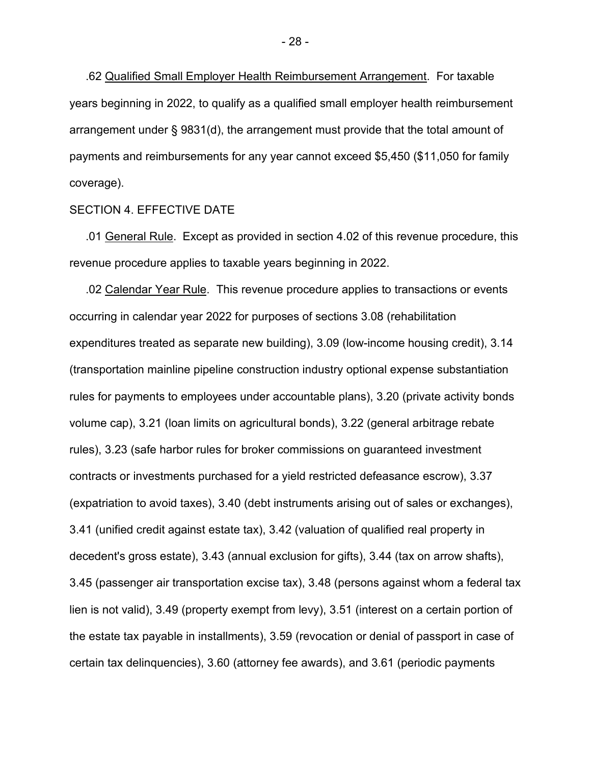.62 Qualified Small Employer Health Reimbursement Arrangement. For taxable years beginning in 2022, to qualify as a qualified small employer health reimbursement arrangement under § 9831(d), the arrangement must provide that the total amount of payments and reimbursements for any year cannot exceed \$5,450 (\$11,050 for family coverage).

### SECTION 4. EFFECTIVE DATE

 .01 General Rule. Except as provided in section 4.02 of this revenue procedure, this revenue procedure applies to taxable years beginning in 2022.

 .02 Calendar Year Rule. This revenue procedure applies to transactions or events occurring in calendar year 2022 for purposes of sections 3.08 (rehabilitation expenditures treated as separate new building), 3.09 (low-income housing credit), 3.14 (transportation mainline pipeline construction industry optional expense substantiation rules for payments to employees under accountable plans), 3.20 (private activity bonds volume cap), 3.21 (loan limits on agricultural bonds), 3.22 (general arbitrage rebate rules), 3.23 (safe harbor rules for broker commissions on guaranteed investment contracts or investments purchased for a yield restricted defeasance escrow), 3.37 (expatriation to avoid taxes), 3.40 (debt instruments arising out of sales or exchanges), 3.41 (unified credit against estate tax), 3.42 (valuation of qualified real property in decedent's gross estate), 3.43 (annual exclusion for gifts), 3.44 (tax on arrow shafts), 3.45 (passenger air transportation excise tax), 3.48 (persons against whom a federal tax lien is not valid), 3.49 (property exempt from levy), 3.51 (interest on a certain portion of the estate tax payable in installments), 3.59 (revocation or denial of passport in case of certain tax delinquencies), 3.60 (attorney fee awards), and 3.61 (periodic payments